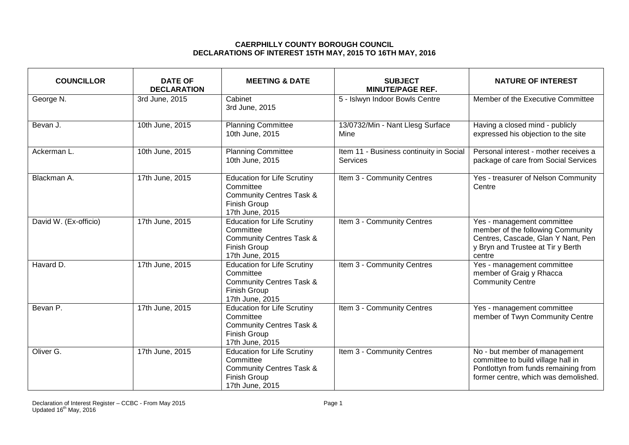## **CAERPHILLY COUNTY BOROUGH COUNCIL DECLARATIONS OF INTEREST 15TH MAY, 2015 TO 16TH MAY, 2016**

| <b>COUNCILLOR</b>     | <b>DATE OF</b><br><b>DECLARATION</b> | <b>MEETING &amp; DATE</b>                                                                                                        | <b>SUBJECT</b><br><b>MINUTE/PAGE REF.</b>           | <b>NATURE OF INTEREST</b>                                                                                                                            |
|-----------------------|--------------------------------------|----------------------------------------------------------------------------------------------------------------------------------|-----------------------------------------------------|------------------------------------------------------------------------------------------------------------------------------------------------------|
| George N.             | 3rd June, 2015                       | Cabinet<br>3rd June, 2015                                                                                                        | 5 - Islwyn Indoor Bowls Centre                      | Member of the Executive Committee                                                                                                                    |
| Bevan J.              | 10th June, 2015                      | <b>Planning Committee</b><br>10th June, 2015                                                                                     | 13/0732/Min - Nant Llesg Surface<br><b>Mine</b>     | Having a closed mind - publicly<br>expressed his objection to the site                                                                               |
| Ackerman L.           | 10th June, 2015                      | <b>Planning Committee</b><br>10th June, 2015                                                                                     | Item 11 - Business continuity in Social<br>Services | Personal interest - mother receives a<br>package of care from Social Services                                                                        |
| Blackman A.           | 17th June, 2015                      | <b>Education for Life Scrutiny</b><br>Committee<br><b>Community Centres Task &amp;</b><br>Finish Group<br>17th June, 2015        | Item 3 - Community Centres                          | Yes - treasurer of Nelson Community<br>Centre                                                                                                        |
| David W. (Ex-officio) | 17th June, 2015                      | <b>Education for Life Scrutiny</b><br>Committee<br><b>Community Centres Task &amp;</b><br><b>Finish Group</b><br>17th June, 2015 | Item 3 - Community Centres                          | Yes - management committee<br>member of the following Community<br>Centres, Cascade, Glan Y Nant, Pen<br>y Bryn and Trustee at Tir y Berth<br>centre |
| Havard D.             | 17th June, 2015                      | <b>Education for Life Scrutiny</b><br>Committee<br><b>Community Centres Task &amp;</b><br><b>Finish Group</b><br>17th June, 2015 | Item 3 - Community Centres                          | Yes - management committee<br>member of Graig y Rhacca<br><b>Community Centre</b>                                                                    |
| Bevan P.              | 17th June, 2015                      | <b>Education for Life Scrutiny</b><br>Committee<br><b>Community Centres Task &amp;</b><br>Finish Group<br>17th June, 2015        | Item 3 - Community Centres                          | Yes - management committee<br>member of Twyn Community Centre                                                                                        |
| Oliver G.             | 17th June, 2015                      | <b>Education for Life Scrutiny</b><br>Committee<br><b>Community Centres Task &amp;</b><br><b>Finish Group</b><br>17th June, 2015 | Item 3 - Community Centres                          | No - but member of management<br>committee to build village hall in<br>Pontlottyn from funds remaining from<br>former centre, which was demolished.  |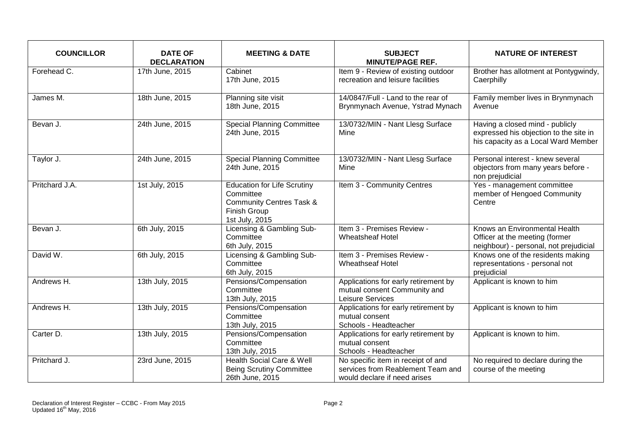| <b>COUNCILLOR</b> | <b>DATE OF</b><br><b>DECLARATION</b> | <b>MEETING &amp; DATE</b>                                                                                                       | <b>SUBJECT</b><br><b>MINUTE/PAGE REF.</b>                                                               | <b>NATURE OF INTEREST</b>                                                                                        |
|-------------------|--------------------------------------|---------------------------------------------------------------------------------------------------------------------------------|---------------------------------------------------------------------------------------------------------|------------------------------------------------------------------------------------------------------------------|
| Forehead C.       | 17th June, 2015                      | Cabinet<br>17th June, 2015                                                                                                      | Item 9 - Review of existing outdoor<br>recreation and leisure facilities                                | Brother has allotment at Pontygwindy,<br>Caerphilly                                                              |
| James M.          | 18th June, 2015                      | Planning site visit<br>18th June, 2015                                                                                          | 14/0847/Full - Land to the rear of<br>Brynmynach Avenue, Ystrad Mynach                                  | Family member lives in Brynmynach<br>Avenue                                                                      |
| Bevan J.          | 24th June, 2015                      | <b>Special Planning Committee</b><br>24th June, 2015                                                                            | 13/0732/MIN - Nant Llesg Surface<br>Mine                                                                | Having a closed mind - publicly<br>expressed his objection to the site in<br>his capacity as a Local Ward Member |
| Taylor J.         | 24th June, 2015                      | <b>Special Planning Committee</b><br>24th June, 2015                                                                            | 13/0732/MIN - Nant Llesg Surface<br>Mine                                                                | Personal interest - knew several<br>objectors from many years before -<br>non prejudicial                        |
| Pritchard J.A.    | 1st July, 2015                       | <b>Education for Life Scrutiny</b><br>Committee<br><b>Community Centres Task &amp;</b><br><b>Finish Group</b><br>1st July, 2015 | Item 3 - Community Centres                                                                              | Yes - management committee<br>member of Hengoed Community<br>Centre                                              |
| Bevan J.          | 6th July, 2015                       | Licensing & Gambling Sub-<br>Committee<br>6th July, 2015                                                                        | Item 3 - Premises Review -<br><b>Wheatsheaf Hotel</b>                                                   | Knows an Environmental Health<br>Officer at the meeting (former<br>neighbour) - personal, not prejudicial        |
| David W.          | 6th July, 2015                       | Licensing & Gambling Sub-<br>Committee<br>6th July, 2015                                                                        | Item 3 - Premises Review -<br><b>Wheathseaf Hotel</b>                                                   | Knows one of the residents making<br>representations - personal not<br>prejudicial                               |
| Andrews H.        | 13th July, 2015                      | Pensions/Compensation<br>Committee<br>13th July, 2015                                                                           | Applications for early retirement by<br>mutual consent Community and<br>Leisure Services                | Applicant is known to him                                                                                        |
| Andrews H.        | 13th July, 2015                      | Pensions/Compensation<br>Committee<br>13th July, 2015                                                                           | Applications for early retirement by<br>mutual consent<br>Schools - Headteacher                         | Applicant is known to him                                                                                        |
| Carter D.         | 13th July, 2015                      | Pensions/Compensation<br>Committee<br>13th July, 2015                                                                           | Applications for early retirement by<br>mutual consent<br>Schools - Headteacher                         | Applicant is known to him.                                                                                       |
| Pritchard J.      | 23rd June, 2015                      | <b>Health Social Care &amp; Well</b><br><b>Being Scrutiny Committee</b><br>26th June, 2015                                      | No specific item in receipt of and<br>services from Reablement Team and<br>would declare if need arises | No required to declare during the<br>course of the meeting                                                       |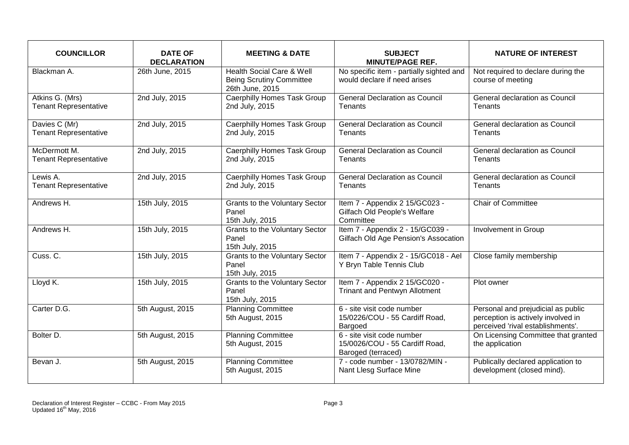| <b>COUNCILLOR</b>                               | <b>DATE OF</b><br><b>DECLARATION</b> | <b>MEETING &amp; DATE</b>                                                                  | <b>SUBJECT</b><br><b>MINUTE/PAGE REF.</b>                                          | <b>NATURE OF INTEREST</b>                                                                                     |
|-------------------------------------------------|--------------------------------------|--------------------------------------------------------------------------------------------|------------------------------------------------------------------------------------|---------------------------------------------------------------------------------------------------------------|
| Blackman A.                                     | 26th June, 2015                      | <b>Health Social Care &amp; Well</b><br><b>Being Scrutiny Committee</b><br>26th June, 2015 | No specific item - partially sighted and<br>would declare if need arises           | Not required to declare during the<br>course of meeting                                                       |
| Atkins G. (Mrs)<br><b>Tenant Representative</b> | 2nd July, 2015                       | Caerphilly Homes Task Group<br>2nd July, 2015                                              | <b>General Declaration as Council</b><br>Tenants                                   | General declaration as Council<br>Tenants                                                                     |
| Davies C (Mr)<br><b>Tenant Representative</b>   | 2nd July, 2015                       | Caerphilly Homes Task Group<br>2nd July, 2015                                              | <b>General Declaration as Council</b><br>Tenants                                   | General declaration as Council<br>Tenants                                                                     |
| McDermott M.<br><b>Tenant Representative</b>    | 2nd July, 2015                       | Caerphilly Homes Task Group<br>2nd July, 2015                                              | <b>General Declaration as Council</b><br>Tenants                                   | General declaration as Council<br>Tenants                                                                     |
| Lewis A.<br><b>Tenant Representative</b>        | 2nd July, 2015                       | <b>Caerphilly Homes Task Group</b><br>2nd July, 2015                                       | <b>General Declaration as Council</b><br>Tenants                                   | General declaration as Council<br>Tenants                                                                     |
| Andrews H.                                      | 15th July, 2015                      | <b>Grants to the Voluntary Sector</b><br>Panel<br>15th July, 2015                          | Item 7 - Appendix 2 15/GC023 -<br>Gilfach Old People's Welfare<br>Committee        | <b>Chair of Committee</b>                                                                                     |
| Andrews H.                                      | 15th July, 2015                      | <b>Grants to the Voluntary Sector</b><br>Panel<br>15th July, 2015                          | Item 7 - Appendix 2 - 15/GC039 -<br>Gilfach Old Age Pension's Assocation           | Involvement in Group                                                                                          |
| Cuss. C.                                        | 15th July, 2015                      | <b>Grants to the Voluntary Sector</b><br>Panel<br>15th July, 2015                          | Item 7 - Appendix 2 - 15/GC018 - Ael<br>Y Bryn Table Tennis Club                   | Close family membership                                                                                       |
| Lloyd K.                                        | 15th July, 2015                      | <b>Grants to the Voluntary Sector</b><br>Panel<br>15th July, 2015                          | Item 7 - Appendix 2 15/GC020 -<br><b>Trinant and Pentwyn Allotment</b>             | Plot owner                                                                                                    |
| Carter D.G.                                     | 5th August, 2015                     | <b>Planning Committee</b><br>5th August, 2015                                              | 6 - site visit code number<br>15/0226/COU - 55 Cardiff Road,<br>Bargoed            | Personal and prejudicial as public<br>perception is actively involved in<br>perceived 'rival establishments'. |
| Bolter D.                                       | 5th August, 2015                     | <b>Planning Committee</b><br>5th August, 2015                                              | 6 - site visit code number<br>15/0026/COU - 55 Cardiff Road,<br>Baroged (terraced) | On Licensing Committee that granted<br>the application                                                        |
| Bevan J.                                        | 5th August, 2015                     | <b>Planning Committee</b><br>5th August, 2015                                              | 7 - code number - 13/0782/MIN -<br>Nant Llesg Surface Mine                         | Publically declared application to<br>development (closed mind).                                              |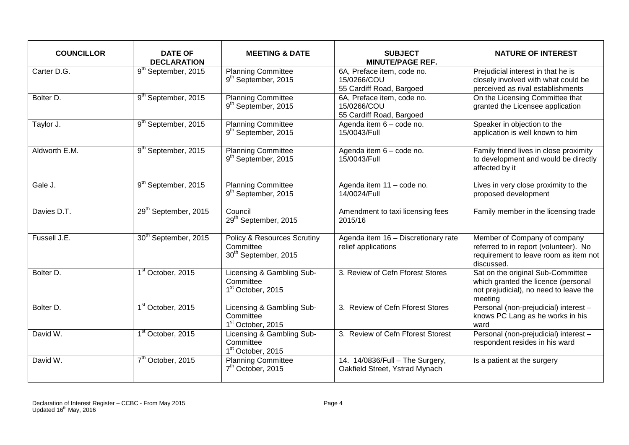| <b>COUNCILLOR</b>    | <b>DATE OF</b><br><b>DECLARATION</b> | <b>MEETING &amp; DATE</b>                                                    | <b>SUBJECT</b><br><b>MINUTE/PAGE REF.</b>                             | <b>NATURE OF INTEREST</b>                                                                                                     |
|----------------------|--------------------------------------|------------------------------------------------------------------------------|-----------------------------------------------------------------------|-------------------------------------------------------------------------------------------------------------------------------|
| Carter D.G.          | 9 <sup>th</sup> September, 2015      | <b>Planning Committee</b><br>9 <sup>th</sup> September, 2015                 | 6A, Preface item, code no.<br>15/0266/COU<br>55 Cardiff Road, Bargoed | Prejudicial interest in that he is<br>closely involved with what could be<br>perceived as rival establishments                |
| Bolter D.            | 9 <sup>th</sup> September, 2015      | <b>Planning Committee</b><br>9 <sup>th</sup> September, 2015                 | 6A, Preface item, code no.<br>15/0266/COU<br>55 Cardiff Road, Bargoed | On the Licensing Committee that<br>granted the Licensee application                                                           |
| Taylor J.            | 9 <sup>th</sup> September, 2015      | <b>Planning Committee</b><br>9 <sup>th</sup> September, 2015                 | Agenda item 6 - code no.<br>15/0043/Full                              | Speaker in objection to the<br>application is well known to him                                                               |
| Aldworth E.M.        | 9 <sup>th</sup> September, 2015      | <b>Planning Committee</b><br>9 <sup>th</sup> September, 2015                 | Agenda item 6 - code no.<br>15/0043/Full                              | Family friend lives in close proximity<br>to development and would be directly<br>affected by it                              |
| Gale J.              | 9 <sup>th</sup> September, 2015      | <b>Planning Committee</b><br>9 <sup>th</sup> September, 2015                 | Agenda item 11 - code no.<br>14/0024/Full                             | Lives in very close proximity to the<br>proposed development                                                                  |
| Davies D.T.          | 29 <sup>th</sup> September, 2015     | Council<br>29 <sup>th</sup> September, 2015                                  | Amendment to taxi licensing fees<br>2015/16                           | Family member in the licensing trade                                                                                          |
| Fussell J.E.         | 30 <sup>th</sup> September, 2015     | Policy & Resources Scrutiny<br>Committee<br>30 <sup>th</sup> September, 2015 | Agenda item 16 - Discretionary rate<br>relief applications            | Member of Company of company<br>referred to in report (volunteer). No<br>requirement to leave room as item not<br>discussed.  |
| Bolter <sub>D.</sub> | 1 <sup>st</sup> October, 2015        | Licensing & Gambling Sub-<br>Committee<br>1 <sup>st</sup> October, 2015      | 3. Review of Cefn Fforest Stores                                      | Sat on the original Sub-Committee<br>which granted the licence (personal<br>not prejudicial), no need to leave the<br>meeting |
| Bolter D.            | 1 <sup>st</sup> October, 2015        | Licensing & Gambling Sub-<br>Committee<br>1 <sup>st</sup> October, 2015      | 3. Review of Cefn Fforest Stores                                      | Personal (non-prejudicial) interest -<br>knows PC Lang as he works in his<br>ward                                             |
| David W.             | 1 <sup>st</sup> October, 2015        | Licensing & Gambling Sub-<br>Committee<br>1 <sup>st</sup> October, 2015      | 3. Review of Cefn Fforest Storest                                     | Personal (non-prejudicial) interest -<br>respondent resides in his ward                                                       |
| David W.             | 7 <sup>th</sup> October, 2015        | <b>Planning Committee</b><br>7 <sup>th</sup> October, 2015                   | 14. 14/0836/Full - The Surgery,<br>Oakfield Street, Ystrad Mynach     | Is a patient at the surgery                                                                                                   |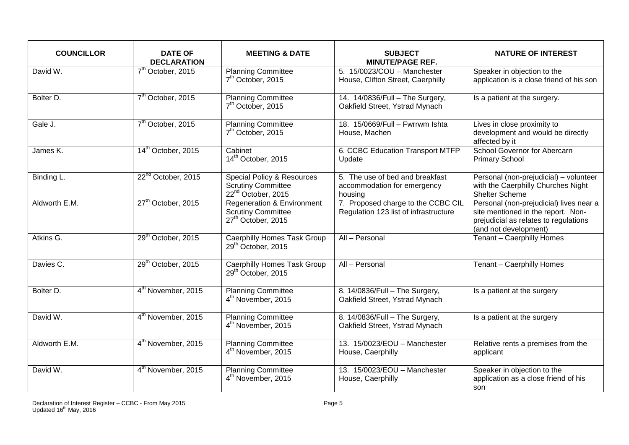| <b>COUNCILLOR</b> | <b>DATE OF</b><br><b>DECLARATION</b> | <b>MEETING &amp; DATE</b>                                                                            | <b>SUBJECT</b><br><b>MINUTE/PAGE REF.</b>                                   | <b>NATURE OF INTEREST</b>                                                                                                                       |
|-------------------|--------------------------------------|------------------------------------------------------------------------------------------------------|-----------------------------------------------------------------------------|-------------------------------------------------------------------------------------------------------------------------------------------------|
| David W.          | 7 <sup>th</sup> October, 2015        | <b>Planning Committee</b><br>7 <sup>th</sup> October, 2015                                           | 5. 15/0023/COU - Manchester<br>House, Clifton Street, Caerphilly            | Speaker in objection to the<br>application is a close friend of his son                                                                         |
| Bolter D.         | 7 <sup>th</sup> October, 2015        | <b>Planning Committee</b><br>7 <sup>th</sup> October, 2015                                           | 14. 14/0836/Full - The Surgery,<br>Oakfield Street, Ystrad Mynach           | Is a patient at the surgery.                                                                                                                    |
| Gale J.           | 7 <sup>th</sup> October, 2015        | <b>Planning Committee</b><br>7 <sup>th</sup> October, 2015                                           | 18. 15/0669/Full - Fwrrwm Ishta<br>House, Machen                            | Lives in close proximity to<br>development and would be directly<br>affected by it                                                              |
| James K.          | 14 <sup>th</sup> October, 2015       | Cabinet<br>14 <sup>th</sup> October, 2015                                                            | 6. CCBC Education Transport MTFP<br>Update                                  | School Governor for Abercarn<br><b>Primary School</b>                                                                                           |
| Binding L.        | 22 <sup>nd</sup> October, 2015       | <b>Special Policy &amp; Resources</b><br><b>Scrutiny Committee</b><br>22 <sup>nd</sup> October, 2015 | 5. The use of bed and breakfast<br>accommodation for emergency<br>housing   | Personal (non-prejudicial) - volunteer<br>with the Caerphilly Churches Night<br>Shelter Scheme                                                  |
| Aldworth E.M.     | 27 <sup>th</sup> October, 2015       | <b>Regeneration &amp; Environment</b><br><b>Scrutiny Committee</b><br>27 <sup>th</sup> October, 2015 | 7. Proposed charge to the CCBC CIL<br>Regulation 123 list of infrastructure | Personal (non-prejudicial) lives near a<br>site mentioned in the report. Non-<br>prejudicial as relates to regulations<br>(and not development) |
| Atkins G.         | 29 <sup>th</sup> October, 2015       | <b>Caerphilly Homes Task Group</b><br>29 <sup>th</sup> October, 2015                                 | All - Personal                                                              | Tenant - Caerphilly Homes                                                                                                                       |
| Davies C.         | 29 <sup>th</sup> October, 2015       | <b>Caerphilly Homes Task Group</b><br>29 <sup>th</sup> October, 2015                                 | All - Personal                                                              | Tenant - Caerphilly Homes                                                                                                                       |
| Bolter D.         | 4 <sup>th</sup> November, 2015       | <b>Planning Committee</b><br>4 <sup>th</sup> November, 2015                                          | 8. 14/0836/Full - The Surgery,<br>Oakfield Street, Ystrad Mynach            | Is a patient at the surgery                                                                                                                     |
| David W.          | 4 <sup>th</sup> November, 2015       | <b>Planning Committee</b><br>4 <sup>th</sup> November, 2015                                          | 8. 14/0836/Full - The Surgery,<br>Oakfield Street, Ystrad Mynach            | Is a patient at the surgery                                                                                                                     |
| Aldworth E.M.     | 4 <sup>th</sup> November, 2015       | <b>Planning Committee</b><br>4 <sup>th</sup> November, 2015                                          | 13. 15/0023/EOU - Manchester<br>House, Caerphilly                           | Relative rents a premises from the<br>applicant                                                                                                 |
| David W.          | 4 <sup>th</sup> November, 2015       | <b>Planning Committee</b><br>4 <sup>th</sup> November, 2015                                          | 13. 15/0023/EOU - Manchester<br>House, Caerphilly                           | Speaker in objection to the<br>application as a close friend of his<br>son                                                                      |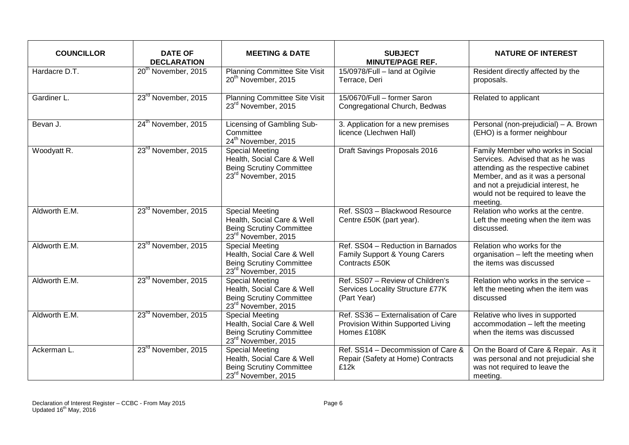| <b>COUNCILLOR</b> | <b>DATE OF</b><br><b>DECLARATION</b> | <b>MEETING &amp; DATE</b>                                                                                                  | <b>SUBJECT</b><br><b>MINUTE/PAGE REF.</b>                                               | <b>NATURE OF INTEREST</b>                                                                                                                                                                                                                |
|-------------------|--------------------------------------|----------------------------------------------------------------------------------------------------------------------------|-----------------------------------------------------------------------------------------|------------------------------------------------------------------------------------------------------------------------------------------------------------------------------------------------------------------------------------------|
| Hardacre D.T.     | 20 <sup>th</sup> November, 2015      | <b>Planning Committee Site Visit</b><br>20 <sup>th</sup> November, 2015                                                    | 15/0978/Full - land at Ogilvie<br>Terrace, Deri                                         | Resident directly affected by the<br>proposals.                                                                                                                                                                                          |
| Gardiner L.       | 23 <sup>rd</sup> November, 2015      | Planning Committee Site Visit<br>23rd November, 2015                                                                       | 15/0670/Full - former Saron<br>Congregational Church, Bedwas                            | Related to applicant                                                                                                                                                                                                                     |
| Bevan J.          | 24 <sup>th</sup> November, 2015      | Licensing of Gambling Sub-<br>Committee<br>24 <sup>th</sup> November, 2015                                                 | 3. Application for a new premises<br>licence (Llechwen Hall)                            | Personal (non-prejudicial) - A. Brown<br>(EHO) is a former neighbour                                                                                                                                                                     |
| Woodyatt R.       | 23 <sup>rd</sup> November, 2015      | <b>Special Meeting</b><br>Health, Social Care & Well<br><b>Being Scrutiny Committee</b><br>23 <sup>rd</sup> November, 2015 | Draft Savings Proposals 2016                                                            | Family Member who works in Social<br>Services. Advised that as he was<br>attending as the respective cabinet<br>Member, and as it was a personal<br>and not a prejudicial interest, he<br>would not be required to leave the<br>meeting. |
| Aldworth E.M.     | 23rd November, 2015                  | <b>Special Meeting</b><br>Health, Social Care & Well<br><b>Being Scrutiny Committee</b><br>23 <sup>rd</sup> November, 2015 | Ref. SS03 - Blackwood Resource<br>Centre £50K (part year).                              | Relation who works at the centre.<br>Left the meeting when the item was<br>discussed.                                                                                                                                                    |
| Aldworth E.M.     | 23 <sup>rd</sup> November, 2015      | <b>Special Meeting</b><br>Health, Social Care & Well<br><b>Being Scrutiny Committee</b><br>23 <sup>rd</sup> November, 2015 | Ref. SS04 - Reduction in Barnados<br>Family Support & Young Carers<br>Contracts £50K    | Relation who works for the<br>organisation - left the meeting when<br>the items was discussed                                                                                                                                            |
| Aldworth E.M.     | 23 <sup>rd</sup> November, 2015      | <b>Special Meeting</b><br>Health, Social Care & Well<br><b>Being Scrutiny Committee</b><br>23 <sup>rd</sup> November, 2015 | Ref. SS07 - Review of Children's<br>Services Locality Structure £77K<br>(Part Year)     | Relation who works in the service -<br>left the meeting when the item was<br>discussed                                                                                                                                                   |
| Aldworth E.M.     | 23 <sup>rd</sup> November, 2015      | <b>Special Meeting</b><br>Health, Social Care & Well<br><b>Being Scrutiny Committee</b><br>23 <sup>rd</sup> November, 2015 | Ref. SS36 - Externalisation of Care<br>Provision Within Supported Living<br>Homes £108K | Relative who lives in supported<br>accommodation - left the meeting<br>when the items was discussed                                                                                                                                      |
| Ackerman L.       | 23 <sup>rd</sup> November, 2015      | <b>Special Meeting</b><br>Health, Social Care & Well<br><b>Being Scrutiny Committee</b><br>23rd November, 2015             | Ref. SS14 - Decommission of Care &<br>Repair (Safety at Home) Contracts<br>£12k         | On the Board of Care & Repair. As it<br>was personal and not prejudicial she<br>was not required to leave the<br>meeting.                                                                                                                |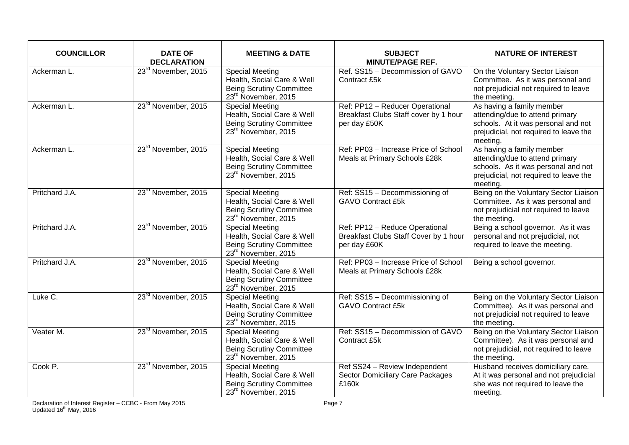| <b>COUNCILLOR</b> | <b>DATE OF</b><br><b>DECLARATION</b> | <b>MEETING &amp; DATE</b>                                                                                                  | <b>SUBJECT</b><br><b>MINUTE/PAGE REF.</b>                                                | <b>NATURE OF INTEREST</b>                                                                                                                                 |
|-------------------|--------------------------------------|----------------------------------------------------------------------------------------------------------------------------|------------------------------------------------------------------------------------------|-----------------------------------------------------------------------------------------------------------------------------------------------------------|
| Ackerman L.       | 23 <sup>rd</sup> November, 2015      | <b>Special Meeting</b><br>Health, Social Care & Well<br><b>Being Scrutiny Committee</b><br>23rd November, 2015             | Ref. SS15 - Decommission of GAVO<br>Contract £5k                                         | On the Voluntary Sector Liaison<br>Committee. As it was personal and<br>not prejudicial not required to leave<br>the meeting.                             |
| Ackerman L.       | 23 <sup>rd</sup> November, 2015      | <b>Special Meeting</b><br>Health, Social Care & Well<br><b>Being Scrutiny Committee</b><br>23rd November, 2015             | Ref: PP12 - Reducer Operational<br>Breakfast Clubs Staff cover by 1 hour<br>per day £50K | As having a family member<br>attending/due to attend primary<br>schools. At it was personal and not<br>prejudicial, not required to leave the<br>meeting. |
| Ackerman L.       | 23 <sup>rd</sup> November, 2015      | <b>Special Meeting</b><br>Health, Social Care & Well<br><b>Being Scrutiny Committee</b><br>23 <sup>rd</sup> November, 2015 | Ref: PP03 - Increase Price of School<br>Meals at Primary Schools £28k                    | As having a family member<br>attending/due to attend primary<br>schools. As it was personal and not<br>prejudicial, not required to leave the<br>meeting. |
| Pritchard J.A.    | 23 <sup>rd</sup> November, 2015      | <b>Special Meeting</b><br>Health, Social Care & Well<br><b>Being Scrutiny Committee</b><br>23rd November, 2015             | Ref: SS15 - Decommissioning of<br><b>GAVO Contract £5k</b>                               | Being on the Voluntary Sector Liaison<br>Committee. As it was personal and<br>not prejudicial not required to leave<br>the meeting.                       |
| Pritchard J.A.    | 23rd November, 2015                  | <b>Special Meeting</b><br>Health, Social Care & Well<br><b>Being Scrutiny Committee</b><br>23 <sup>rd</sup> November, 2015 | Ref: PP12 - Reduce Operational<br>Breakfast Clubs Staff Cover by 1 hour<br>per day £60K  | Being a school governor. As it was<br>personal and not prejudicial, not<br>required to leave the meeting.                                                 |
| Pritchard J.A.    | 23 <sup>rd</sup> November, 2015      | <b>Special Meeting</b><br>Health, Social Care & Well<br><b>Being Scrutiny Committee</b><br>23 <sup>rd</sup> November, 2015 | Ref: PP03 - Increase Price of School<br>Meals at Primary Schools £28k                    | Being a school governor.                                                                                                                                  |
| Luke C.           | 23 <sup>rd</sup> November, 2015      | <b>Special Meeting</b><br>Health, Social Care & Well<br><b>Being Scrutiny Committee</b><br>23rd November, 2015             | Ref: SS15 - Decommissioning of<br><b>GAVO Contract £5k</b>                               | Being on the Voluntary Sector Liaison<br>Committee). As it was personal and<br>not prejudicial not required to leave<br>the meeting.                      |
| Veater M.         | 23 <sup>rd</sup> November, 2015      | <b>Special Meeting</b><br>Health, Social Care & Well<br><b>Being Scrutiny Committee</b><br>23 <sup>rd</sup> November, 2015 | Ref: SS15 - Decommission of GAVO<br>Contract £5k                                         | Being on the Voluntary Sector Liaison<br>Committee). As it was personal and<br>not prejudicial, not required to leave<br>the meeting.                     |
| Cook P.           | 23 <sup>rd</sup> November, 2015      | <b>Special Meeting</b><br>Health, Social Care & Well<br><b>Being Scrutiny Committee</b><br>23rd November, 2015             | Ref SS24 - Review Independent<br>Sector Domiciliary Care Packages<br>£160k               | Husband receives domiciliary care.<br>At it was personal and not prejudicial<br>she was not required to leave the<br>meeting.                             |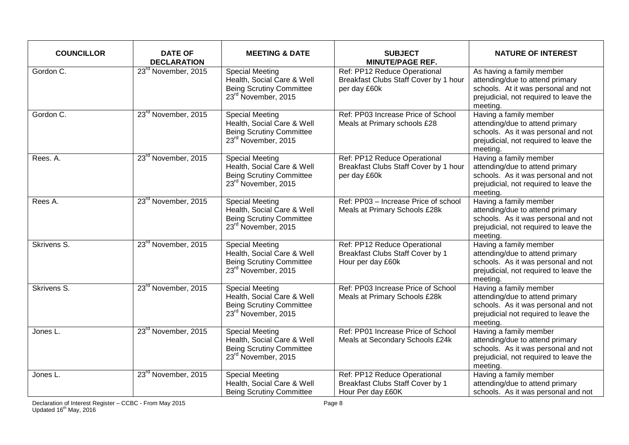| <b>COUNCILLOR</b> | <b>DATE OF</b><br><b>DECLARATION</b> | <b>MEETING &amp; DATE</b>                                                                                                  | <b>SUBJECT</b><br><b>MINUTE/PAGE REF.</b>                                                    | <b>NATURE OF INTEREST</b>                                                                                                                                 |
|-------------------|--------------------------------------|----------------------------------------------------------------------------------------------------------------------------|----------------------------------------------------------------------------------------------|-----------------------------------------------------------------------------------------------------------------------------------------------------------|
| Gordon C.         | 23 <sup>rd</sup> November, 2015      | <b>Special Meeting</b><br>Health, Social Care & Well<br><b>Being Scrutiny Committee</b><br>23 <sup>rd</sup> November, 2015 | Ref: PP12 Reduce Operational<br>Breakfast Clubs Staff Cover by 1 hour<br>per day £60k        | As having a family member<br>attending/due to attend primary<br>schools. At it was personal and not<br>prejudicial, not required to leave the<br>meeting. |
| Gordon C.         | 23 <sup>rd</sup> November, 2015      | <b>Special Meeting</b><br>Health, Social Care & Well<br><b>Being Scrutiny Committee</b><br>23rd November, 2015             | Ref: PP03 Increase Price of School<br>Meals at Primary schools £28                           | Having a family member<br>attending/due to attend primary<br>schools. As it was personal and not<br>prejudicial, not required to leave the<br>meeting.    |
| Rees. A.          | 23rd November, 2015                  | <b>Special Meeting</b><br>Health, Social Care & Well<br><b>Being Scrutiny Committee</b><br>23 <sup>rd</sup> November, 2015 | Ref: PP12 Reduce Operational<br>Breakfast Clubs Staff Cover by 1 hour<br>per day £60k        | Having a family member<br>attending/due to attend primary<br>schools. As it was personal and not<br>prejudicial, not required to leave the<br>meeting.    |
| Rees A.           | 23 <sup>rd</sup> November, 2015      | <b>Special Meeting</b><br>Health, Social Care & Well<br><b>Being Scrutiny Committee</b><br>23 <sup>rd</sup> November, 2015 | Ref: PP03 - Increase Price of school<br>Meals at Primary Schools £28k                        | Having a family member<br>attending/due to attend primary<br>schools. As it was personal and not<br>prejudicial, not required to leave the<br>meeting.    |
| Skrivens S.       | 23 <sup>rd</sup> November, 2015      | <b>Special Meeting</b><br>Health, Social Care & Well<br><b>Being Scrutiny Committee</b><br>23 <sup>rd</sup> November, 2015 | Ref: PP12 Reduce Operational<br><b>Breakfast Clubs Staff Cover by 1</b><br>Hour per day £60k | Having a family member<br>attending/due to attend primary<br>schools. As it was personal and not<br>prejudicial, not required to leave the<br>meeting.    |
| Skrivens S.       | 23 <sup>rd</sup> November, 2015      | <b>Special Meeting</b><br>Health, Social Care & Well<br><b>Being Scrutiny Committee</b><br>23 <sup>rd</sup> November, 2015 | Ref: PP03 Increase Price of School<br>Meals at Primary Schools £28k                          | Having a family member<br>attending/due to attend primary<br>schools. As it was personal and not<br>prejudicial not required to leave the<br>meeting.     |
| Jones L.          | 23 <sup>rd</sup> November, 2015      | <b>Special Meeting</b><br>Health, Social Care & Well<br><b>Being Scrutiny Committee</b><br>23rd November, 2015             | Ref: PP01 Increase Price of School<br>Meals at Secondary Schools £24k                        | Having a family member<br>attending/due to attend primary<br>schools. As it was personal and not<br>prejudicial, not required to leave the<br>meeting.    |
| Jones L.          | 23 <sup>rd</sup> November, 2015      | <b>Special Meeting</b><br>Health, Social Care & Well<br><b>Being Scrutiny Committee</b>                                    | Ref: PP12 Reduce Operational<br><b>Breakfast Clubs Staff Cover by 1</b><br>Hour Per day £60K | Having a family member<br>attending/due to attend primary<br>schools. As it was personal and not                                                          |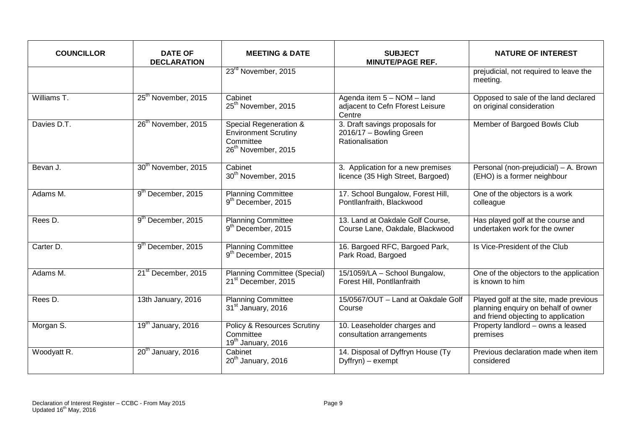| <b>COUNCILLOR</b> | <b>DATE OF</b><br><b>DECLARATION</b> | <b>MEETING &amp; DATE</b>                                                                             | <b>SUBJECT</b><br><b>MINUTE/PAGE REF.</b>                                    | <b>NATURE OF INTEREST</b>                                                                                            |
|-------------------|--------------------------------------|-------------------------------------------------------------------------------------------------------|------------------------------------------------------------------------------|----------------------------------------------------------------------------------------------------------------------|
|                   |                                      | 23 <sup>rd</sup> November, 2015                                                                       |                                                                              | prejudicial, not required to leave the<br>meeting.                                                                   |
| Williams T.       | 25 <sup>th</sup> November, 2015      | Cabinet<br>25 <sup>th</sup> November, 2015                                                            | Agenda item 5 - NOM - land<br>adjacent to Cefn Fforest Leisure<br>Centre     | Opposed to sale of the land declared<br>on original consideration                                                    |
| Davies D.T.       | 26 <sup>th</sup> November, 2015      | Special Regeneration &<br><b>Environment Scrutiny</b><br>Committee<br>26 <sup>th</sup> November, 2015 | 3. Draft savings proposals for<br>2016/17 - Bowling Green<br>Rationalisation | Member of Bargoed Bowls Club                                                                                         |
| Bevan J.          | 30 <sup>th</sup> November, 2015      | Cabinet<br>30 <sup>th</sup> November, 2015                                                            | 3. Application for a new premises<br>licence (35 High Street, Bargoed)       | Personal (non-prejudicial) - A. Brown<br>(EHO) is a former neighbour                                                 |
| Adams M.          | 9 <sup>th</sup> December, 2015       | <b>Planning Committee</b><br>9 <sup>th</sup> December, 2015                                           | 17. School Bungalow, Forest Hill,<br>Pontllanfraith, Blackwood               | One of the objectors is a work<br>colleague                                                                          |
| Rees D.           | 9 <sup>th</sup> December, 2015       | <b>Planning Committee</b><br>9 <sup>th</sup> December, 2015                                           | 13. Land at Oakdale Golf Course,<br>Course Lane, Oakdale, Blackwood          | Has played golf at the course and<br>undertaken work for the owner                                                   |
| Carter D.         | 9 <sup>th</sup> December, 2015       | <b>Planning Committee</b><br>9 <sup>th</sup> December, 2015                                           | 16. Bargoed RFC, Bargoed Park,<br>Park Road, Bargoed                         | Is Vice-President of the Club                                                                                        |
| Adams M.          | 21 <sup>st</sup> December, 2015      | <b>Planning Committee (Special)</b><br>21 <sup>st</sup> December, 2015                                | 15/1059/LA - School Bungalow,<br>Forest Hill, Pontllanfraith                 | One of the objectors to the application<br>is known to him                                                           |
| Rees D.           | 13th January, 2016                   | <b>Planning Committee</b><br>31 <sup>st</sup> January, 2016                                           | 15/0567/OUT - Land at Oakdale Golf<br>Course                                 | Played golf at the site, made previous<br>planning enquiry on behalf of owner<br>and friend objecting to application |
| Morgan S.         | 19 <sup>th</sup> January, 2016       | <b>Policy &amp; Resources Scrutiny</b><br>Committee<br>19 <sup>th</sup> January, 2016                 | 10. Leaseholder charges and<br>consultation arrangements                     | Property landlord - owns a leased<br>premises                                                                        |
| Woodyatt R.       | $20th$ January, 2016                 | Cabinet<br>20 <sup>th</sup> January, 2016                                                             | 14. Disposal of Dyffryn House (Ty<br>$Dyffryn) - exempt$                     | Previous declaration made when item<br>considered                                                                    |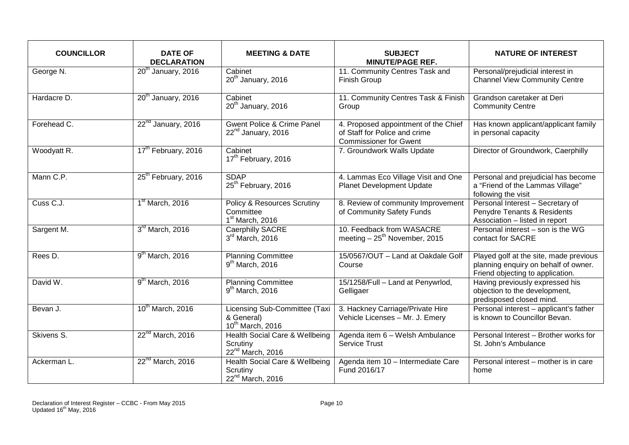| <b>COUNCILLOR</b> | <b>DATE OF</b><br><b>DECLARATION</b> | <b>MEETING &amp; DATE</b>                                                   | <b>SUBJECT</b><br><b>MINUTE/PAGE REF.</b>                                                              | <b>NATURE OF INTEREST</b>                                                                                          |
|-------------------|--------------------------------------|-----------------------------------------------------------------------------|--------------------------------------------------------------------------------------------------------|--------------------------------------------------------------------------------------------------------------------|
| George N.         | $20th$ January, 2016                 | Cabinet<br>20 <sup>th</sup> January, 2016                                   | 11. Community Centres Task and<br><b>Finish Group</b>                                                  | Personal/prejudicial interest in<br><b>Channel View Community Centre</b>                                           |
| Hardacre D.       | 20 <sup>th</sup> January, 2016       | Cabinet<br>20 <sup>th</sup> January, 2016                                   | 11. Community Centres Task & Finish<br>Group                                                           | Grandson caretaker at Deri<br><b>Community Centre</b>                                                              |
| Forehead C.       | 22 <sup>nd</sup> January, 2016       | <b>Gwent Police &amp; Crime Panel</b><br>22 <sup>nd</sup> January, 2016     | 4. Proposed appointment of the Chief<br>of Staff for Police and crime<br><b>Commissioner for Gwent</b> | Has known applicant/applicant family<br>in personal capacity                                                       |
| Woodyatt R.       | 17 <sup>th</sup> February, 2016      | Cabinet<br>17 <sup>th</sup> February, 2016                                  | 7. Groundwork Walls Update                                                                             | Director of Groundwork, Caerphilly                                                                                 |
| Mann C.P.         | 25 <sup>th</sup> February, 2016      | <b>SDAP</b><br>25 <sup>th</sup> February, 2016                              | 4. Lammas Eco Village Visit and One<br><b>Planet Development Update</b>                                | Personal and prejudicial has become<br>a "Friend of the Lammas Village"<br>following the visit                     |
| Cuss C.J.         | 1 <sup>st</sup> March, 2016          | <b>Policy &amp; Resources Scrutiny</b><br>Committee<br>$1st$ March, 2016    | 8. Review of community Improvement<br>of Community Safety Funds                                        | Personal Interest - Secretary of<br>Penydre Tenants & Residents<br>Association - listed in report                  |
| Sargent M.        | 3rd March, 2016                      | Caerphilly SACRE<br>3rd March, 2016                                         | 10. Feedback from WASACRE<br>meeting $-25^{th}$ November, 2015                                         | Personal interest - son is the WG<br>contact for SACRE                                                             |
| Rees D.           | 9 <sup>th</sup> March, 2016          | <b>Planning Committee</b><br>$9th$ March, 2016                              | 15/0567/OUT - Land at Oakdale Golf<br>Course                                                           | Played golf at the site, made previous<br>planning enquiry on behalf of owner.<br>Friend objecting to application. |
| David W.          | $9th$ March, 2016                    | <b>Planning Committee</b><br>$9th$ March, 2016                              | 15/1258/Full - Land at Penywrlod,<br>Gelligaer                                                         | Having previously expressed his<br>objection to the development,<br>predisposed closed mind.                       |
| Bevan J.          | 10 <sup>th</sup> March, 2016         | Licensing Sub-Committee (Taxi<br>& General)<br>10 <sup>th</sup> March, 2016 | 3. Hackney Carriage/Private Hire<br>Vehicle Licenses - Mr. J. Emery                                    | Personal interest - applicant's father<br>is known to Councillor Bevan.                                            |
| Skivens S.        | 22 <sup>nd</sup> March, 2016         | Health Social Care & Wellbeing<br>Scrutiny<br>22 <sup>nd</sup> March, 2016  | Agenda item 6 - Welsh Ambulance<br><b>Service Trust</b>                                                | Personal Interest - Brother works for<br>St. John's Ambulance                                                      |
| Ackerman L.       | 22 <sup>nd</sup> March, 2016         | Health Social Care & Wellbeing<br>Scrutiny<br>22 <sup>nd</sup> March, 2016  | Agenda item 10 - Intermediate Care<br>Fund 2016/17                                                     | Personal interest - mother is in care<br>home                                                                      |